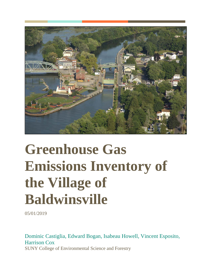

# **Greenhouse Gas Emissions Inventory of the Village of Baldwinsville**

05/01/2019

Dominic Castiglia, Edward Bogan, Isabeau Howell, Vincent Esposito, Harrison Cox SUNY College of Environmental Science and Forestry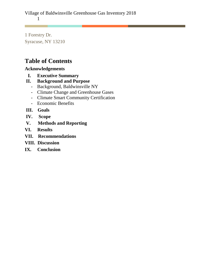1 Forestry Dr. Syracuse, NY 13210

# **Table of Contents**

# **Acknowledgements**

- **I. Executive Summary**
- **II. Background and Purpose**
	- Background, Baldwinsville NY
	- Climate Change and Greenhouse Gases
	- Climate Smart Community Certification
	- Economic Benefits
- **III. Goals**
- **IV. Scope**
- **V. Methods and Reporting**
- **VI. Results**
- **VII. Recommendations**
- **VIII. Discussion**
- **IX. Conclusion**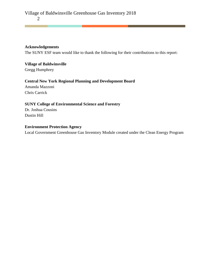# **Acknowledgements**

The SUNY ESF team would like to thank the following for their contributions to this report:

**Village of Baldwinsville** Gregg Humphrey

# **Central New York Regional Planning and Development Board**

Amanda Mazzoni Chris Carrick

# **SUNY College of Environmental Science and Forestry**

Dr. Joshua Cousins Dustin Hill

# **Environment Protection Agency**

Local Government Greenhouse Gas Inventory Module created under the Clean Energy Program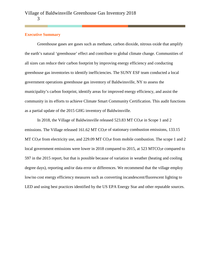#### **Executive Summary**

Greenhouse gases are gases such as methane, carbon dioxide, nitrous oxide that amplify the earth's natural 'greenhouse' effect and contribute to global climate change. Communities of all sizes can reduce their carbon footprint by improving energy efficiency and conducting greenhouse gas inventories to identify inefficiencies. The SUNY ESF team conducted a local government operations greenhouse gas inventory of Baldwinsville, NY to assess the municipality's carbon footprint, identify areas for improved energy efficiency, and assist the community in its efforts to achieve Climate Smart Community Certification. This audit functions as a partial update of the 2015 GHG inventory of Baldwinsville.

In 2018, the Village of Baldwinsville released 523.83 MT CO<sub>2</sub>e in Scope 1 and 2 emissions. The Village released 161.62 MT CO<sub>2</sub>e of stationary combustion emissions, 133.15 MT CO<sub>2</sub>e from electricity use, and 229.09 MT CO<sub>2</sub>e from mobile combustion. The scope 1 and 2 local government emissions were lower in 2018 compared to 2015, at 523 MTCO<sub>2</sub>e compared to 597 in the 2015 report, but that is possible because of variation in weather (heating and cooling degree days), reporting and/or data error or differences. We recommend that the village employ low/no cost energy efficiency measures such as converting incandescent/fluorescent lighting to LED and using best practices identified by the US EPA Energy Star and other reputable sources.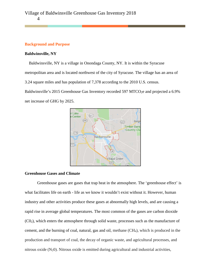# **Background and Purpose**

net increase of GHG by 2025.

#### **Baldwinsville, NY**

 Baldwinsville, NY is a village in Onondaga County, NY. It is within the Syracuse metropolitan area and is located northwest of the city of Syracuse. The village has an area of 3.24 square miles and has population of 7,378 according to the 2010 U.S. census. Baldwinsville's 2015 Greenhouse Gas Inventory recorded 597 MTCO<sub>2</sub>e and projected a 6.9%



#### **Greenhouse Gases and Climate**

Greenhouse gases are gases that trap heat in the atmosphere. The 'greenhouse effect' is what facilitates life on earth - life as we know it wouldn't exist without it. However, human industry and other activities produce these gases at abnormally high levels, and are causing a rapid rise in average global temperatures. The most common of the gases are carbon dioxide  $(C0<sub>2</sub>)$ , which enters the atmosphere through solid waste, processes such as the manufacture of cement, and the burning of coal, natural, gas and oil, methane (CH4), which is produced in the production and transport of coal, the decay of organic waste, and agricultural processes, and nitrous oxide  $(N_2 0)$ . Nitrous oxide is emitted during agricultural and industrial activities,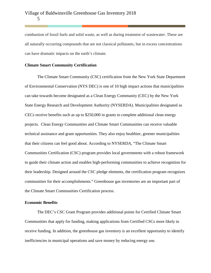combustion of fossil fuels and solid waste, as well as during treatment of wastewater. These are all naturally occurring compounds that are not classical pollutants, but in excess concentrations can have dramatic impacts on the earth's climate.

# **Climate Smart Community Certification**

The Climate Smart Community (CSC) certification from the New York State Department of Environmental Conservation (NYS DEC) is one of 10 high impact actions that municipalities can take towards become designated as a Clean Energy Community (CEC) by the New York State Energy Research and Development Authority (NYSERDA). Municipalities designated as CECs receive benefits such as up to \$250,000 in grants to complete additional clean energy projects. Clean Energy Communities and Climate Smart Communities can receive valuable technical assistance and grant opportunities. They also enjoy healthier, greener municipalities that their citizens can feel good about. According to NYSERDA, "The Climate Smart Communities Certification (CSC) program provides local governments with a robust framework to guide their climate action and enables high-performing communities to achieve recognition for their leadership. Designed around the CSC pledge elements, the certification program recognizes communities for their accomplishments." Greenhouse gas inventories are an important part of the Climate Smart Communities Certification process.

#### **Economic Benefits**

The DEC's CSC Grant Program provides additional points for Certified Climate Smart Communities that apply for funding, making applications from Certified CSCs more likely to receive funding. In addition, the greenhouse gas inventory is an excellent opportunity to identify inefficiencies in municipal operations and save money by reducing energy use.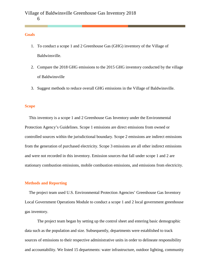#### **Goals**

- 1. To conduct a scope 1 and 2 Greenhouse Gas (GHG) inventory of the Village of Baldwinsville.
- 2. Compare the 2018 GHG emissions to the 2015 GHG inventory conducted by the village of Baldwinsville
- 3. Suggest methods to reduce overall GHG emissions in the Village of Baldwinsville.

#### **Scope**

 This inventory is a scope 1 and 2 Greenhouse Gas Inventory under the Environmental Protection Agency's Guidelines. Scope 1 emissions are direct emissions from owned or controlled sources within the jurisdictional boundary. Scope 2 emissions are indirect emissions from the generation of purchased electricity. Scope 3 emissions are all other indirect emissions and were not recorded in this inventory. Emission sources that fall under scope 1 and 2 are stationary combustion emissions, mobile combustion emissions, and emissions from electricity.

#### **Methods and Reporting**

 The project team used U.S. Environmental Protection Agencies' Greenhouse Gas Inventory Local Government Operations Module to conduct a scope 1 and 2 local government greenhouse gas inventory.

The project team began by setting up the control sheet and entering basic demographic data such as the population and size. Subsequently, departments were established to track sources of emissions to their respective administrative units in order to delineate responsibility and accountability. We listed 15 departments: water infrastructure, outdoor lighting, community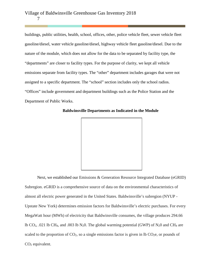buildings, public utilities, health, school, offices, other, police vehicle fleet, sewer vehicle fleet gasoline/diesel, water vehicle gasoline/diesel, highway vehicle fleet gasoline/diesel. Due to the nature of the module, which does not allow for the data to be separated by facility type, the "departments" are closer to facility types. For the purpose of clarity, we kept all vehicle emissions separate from facility types. The "other" department includes garages that were not assigned to a specific department. The "school" section includes only the school radios. "Offices" include government and department buildings such as the Police Station and the Department of Public Works.



 **Baldwinsville Departments as Indicated in the Module** 

Next, we established our Emissions & Generation Resource Integrated Database (eGRID) Subregion. eGRID is a comprehensive source of data on the environmental characteristics of almost all electric power generated in the United States. Baldwinsville's subregion (NYUP - Upstate New York) determines emission factors for Baldwinsville's electric purchases. For every MegaWatt hour (MWh) of electricity that Baldwinsville consumes, the village produces 294.66 lb CO<sub>2</sub>, .021 lb CH<sub>4</sub>, and .003 lb N<sub>2</sub>0. The global warming potential (GWP) of N<sub>2</sub>0 and CH<sub>4</sub> are scaled to the proportion of  $CO<sub>2</sub>$ , so a single emissions factor is given in lb  $CO<sub>2</sub>e$ , or pounds of CO<sub>2</sub> equivalent.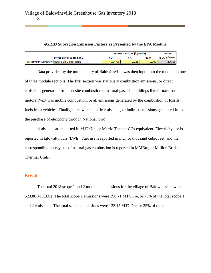# **eGRID Subregion Emission Factors as Presented by the EPA Module**

|                                             | <b>Emission Factors (lb/MWh)</b> |       |                  | <b>Total EF</b>                                |
|---------------------------------------------|----------------------------------|-------|------------------|------------------------------------------------|
| Select eGRID Subregion                      | CO.                              | CH,   | N <sub>2</sub> O | $\overline{\mathsf{lb}}$ CO <sub>2</sub> e/MWh |
| Select your subregion: NYUP eGRID subregion | 294.66                           | 0.021 | 0.003            | 296.08                                         |

Data provided by the municipality of Baldwinsville was then input into the module in one of three module sections. The first section was stationary combustion emissions, or direct emissions generation from on-site combustion of natural gases in buildings like furnaces or motors. Next was mobile combustion, or all emissions generated by the combustion of fossils fuels from vehicles. Finally, there were electric emissions, or indirect emissions generated from the purchase of electricity through National Grid.

Emissions are reported in MTCO<sub>2</sub>e, or Metric Tons of  $CO<sub>2</sub>$  equivalent. Electricity use is reported in kilowatt hours (kWh). Fuel use is reported in mcf, or thousand cubic feet, and the corresponding energy use of natural gas combustion is reported in MMBtu, or Million British Thermal Units.

# **Results**

The total 2018 scope 1 and 2 municipal emissions for the village of Baldwinsville were 523.86 MTCO<sub>2</sub>e. The total scope 1 emissions were 390.71 MTCO<sub>2</sub>e, or 75% of the total scope 1 and 2 emissions. The total scope 2 emissions were  $133.15 \,\mathrm{MTCO}_{2}$ , or  $25\%$  of the total.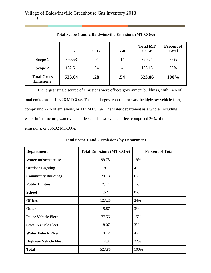|                                        | CO <sub>2</sub> | CH <sub>4</sub> | $N_20$ | <b>Total MT</b><br>CO <sub>2</sub> e | Percent of<br><b>Total</b> |
|----------------------------------------|-----------------|-----------------|--------|--------------------------------------|----------------------------|
| Scope 1                                | 390.53          | .04             | .14    | 390.71                               | 75%                        |
| Scope 2                                | 132.51          | .24             | .4     | 133.15                               | 25%                        |
| <b>Total Gross</b><br><b>Emissions</b> | 523.04          | .28             | .54    | 523.86                               | 100%                       |

**Total Scope 1 and 2 Baldwinsville Emissions (MT CO2e)**

The largest single source of emissions were offices/government buildings, with 24% of total emissions at 123.26 MTCO<sub>2</sub>e. The next largest contributor was the highway vehicle fleet, comprising 22% of emissions, or 114 MTCO<sub>2</sub>e. The water department as a whole, including water infrastructure, water vehicle fleet, and sewer vehicle fleet comprised 26% of total emissions, or 136.92 MTCO<sub>2</sub>e.

| <b>Department</b>            | <b>Total Emissions (MT CO2e)</b> | <b>Percent of Total</b> |
|------------------------------|----------------------------------|-------------------------|
| <b>Water Infrastructure</b>  | 99.73                            | 19%                     |
| <b>Outdoor Lighting</b>      | 19.1                             | 4%                      |
| <b>Community Buildings</b>   | 29.13                            | 6%                      |
| <b>Public Utilities</b>      | 7.17                             | 1%                      |
| <b>School</b>                | .52                              | 0%                      |
| <b>Offices</b>               | 123.26                           | 24%                     |
| Other                        | 15.87                            | 3%                      |
| <b>Police Vehicle Fleet</b>  | 77.56                            | 15%                     |
| <b>Sewer Vehicle Fleet</b>   | 18.07                            | 3%                      |
| <b>Water Vehicle Fleet</b>   | 19.12                            | 4%                      |
| <b>Highway Vehicle Fleet</b> | 114.34                           | 22%                     |
| <b>Total</b>                 | 523.86                           | 100%                    |

**Total Scope 1 and 2 Emissions by Department**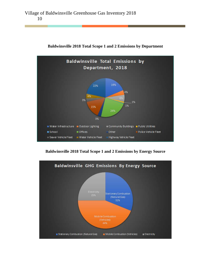

**Baldwinsville 2018 Total Scope 1 and 2 Emissions by Department**

**Baldwinsville 2018 Total Scope 1 and 2 Emissions by Energy Source**

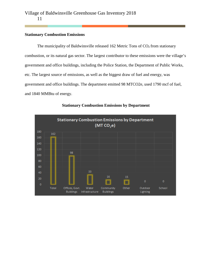# **Stationary Combustion Emissions**

The municipality of Baldwinsville released 162 Metric Tons of  $CO<sub>2</sub>$  from stationary combustion, or its natural gas sector. The largest contributor to these emissions were the village's government and office buildings, including the Police Station, the Department of Public Works, etc. The largest source of emissions, as well as the biggest draw of fuel and energy, was government and office buildings. The department emitted 98 MTCO2e, used 1790 mcf of fuel, and 1840 MMBtu of energy.



# **Stationary Combustion Emissions by Department**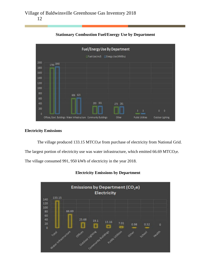

**Stationary Combustion Fuel/Energy Use by Department**

# **Electricity Emissions**

The village produced 133.15 MTCO<sub>2</sub>e from purchase of electricity from National Grid.

The largest portion of electricity use was water infrastructure, which emitted  $66.69$  MTCO<sub>2</sub>e.

The village consumed 991, 950 kWh of electricity in the year 2018.



**Electricity Emissions by Department**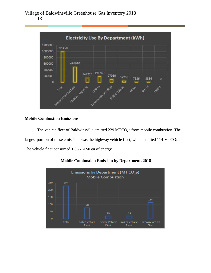

# **Mobile Combustion Emissions**

The vehicle fleet of Baldwinsville emitted 229 MTCO<sub>2</sub>e from mobile combustion. The largest portion of these emissions was the highway vehicle fleet, which emitted 114 MTCO<sub>2</sub>e. The vehicle fleet consumed 1,866 MMBtu of energy.



**Mobile Combustion Emission by Department, 2018**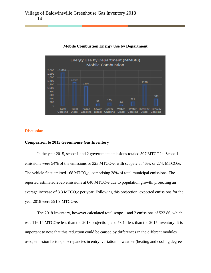

# **Mobile Combustion Energy Use by Department**

#### **Discussion**

## **Comparison to 2015 Greenhouse Gas Inventory**

In the year 2015, scope 1 and 2 government emissions totaled 597 MTCO2e. Scope 1 emissions were 54% of the emissions or 323 MTCO<sub>2</sub>e, with scope 2 at 46%, or 274, MTCO<sub>2</sub>e. The vehicle fleet emitted 168 MTCO<sub>2</sub>e, comprising 28% of total municipal emissions. The reported estimated 2025 emissions at 640 MTCO<sub>2</sub>e due to population growth, projecting an average increase of 3.3 MTCO2e per year. Following this projection, expected emissions for the year 2018 were 591.9 MTCO<sub>2</sub>e.

The 2018 Inventory, however calculated total scope 1 and 2 emissions of 523.86, which was 116.14 MTCO<sub>2</sub>e less than the 2018 projection, and 73.14 less than the 2015 inventory. It is important to note that this reduction could be caused by differences in the different modules used, emission factors, discrepancies in entry, variation in weather (heating and cooling degree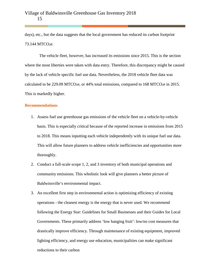days), etc., but the data suggests that the local government has reduced its carbon footprint 73.144 MTCO<sub>2</sub>e.

 The vehicle fleet, however, has increased its emissions since 2015. This is the section where the most liberties were taken with data entry. Therefore, this discrepancy might be caused by the lack of vehicle specific fuel use data. Nevertheless, the 2018 vehicle fleet data was calculated to be 229.09 MTCO<sub>2</sub>e, or 44% total emissions, compared to 168 MTCO<sub>2</sub>e in 2015. This is markedly higher.

#### **Recommendations**

- 1. Assess fuel use greenhouse gas emissions of the vehicle fleet on a vehicle-by-vehicle basis. This is especially critical because of the reported increase in emissions from 2015 to 2018. This means inputting each vehicle independently with its unique fuel use data. This will allow future planners to address vehicle inefficiencies and opportunities more thoroughly.
- 2. Conduct a full-scale scope 1, 2, and 3 inventory of both municipal operations and community emissions. This wholistic look will give planners a better picture of Baldwinsville's environmental impact.
- 3. An excellent first step in environmental action is optimizing efficiency of existing operations - the cleanest energy is the energy that is never used. We recommend following the Energy Star: Guidelines for Small Businesses and their Guides for Local Governments. These primarily address 'low hanging fruit': low/no cost measures that drastically improve efficiency. Through maintenance of existing equipment, improved lighting efficiency, and energy use education, municipalities can make significant reductions to their carbon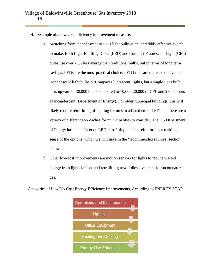- 4. Example of a low-cost efficiency improvement measure:
	- a. Switching from incandescent to LED light bulbs is an incredibly effective switch to make. Both Light Emitting Diode (LED) and Compact Fluorescent Light (CFL) bulbs use over 70% less energy than traditional bulbs, but in terms of long term savings, LEDs are the most practical choice. LED bulbs are more expensive than incandescent light bulbs or Compact Fluorescent Lights, but a single LED bulb lasts upward of 30,000 hours compared to 10,000-20,000 of CFL and 2,000 hours of incandescent (Department of Energy). For older municipal buildings, this will likely require retrofitting of lighting fixtures to adapt them to LED, and there are a variety of different approaches for municipalities to consider. The US Department of Energy has a fact sheet on LED retrofitting that is useful for those making sense of the options, which we will have in the 'recommended sources' section below.
	- b. Other low-cost improvements are motion sensors for lights to reduce wasted energy from lights left on, and retrofitting newer diesel vehicles to run on natural gas.

Categories of Low/No-Cost Energy Efficiency Improvements, According to ENERGY STAR

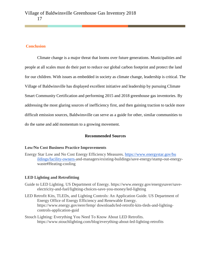# **Conclusion**

 Climate change is a major threat that looms over future generations. Municipalities and people at all scales must do their part to reduce our global carbon footprint and protect the land for our children. With issues as embedded in society as climate change, leadership is critical. The Village of Baldwinsville has displayed excellent initiative and leadership by pursuing Climate Smart Community Certification and performing 2015 and 2018 greenhouse gas inventories. By addressing the most glaring sources of inefficiency first, and then gaining traction to tackle more difficult emission sources, Baldwinsville can serve as a guide for other, similar communities to do the same and add momentum to a growing movement.

# **Recommended Sources**

# **Low/No Cost Business Practice Improvements**

Energy Star Low and No Cost Energy Efficiency Measures. [https://www.energystar.gov/bu](https://www.energystar.gov/buildings/facility-owners-)  [ildings/facility-owners-a](https://www.energystar.gov/buildings/facility-owners-)nd-managers/existing-buildings/save-energy/stamp-out-energywaste#Heating-cooling

# **LED Lighting and Retrofitting**

- Guide to LED Lighting. US Department of Energy. https://www.energy.gov/energysaver/saveelectricity-and-fuel/lighting-choices-save-you-money/led-lighting
- LED Retrofit Kits, TLEDs, and Lighting Controls: An Application Guide. US Department of Energy Office of Energy Efficiency and Renewable Energy. https://www.energy.gov/eere/femp/ downloads/led-retrofit-kits-tleds-and-lightingcontrols-application-guid
- Stouch Lighting: Everything You Need To Know About LED Retrofits. https://www.stouchlighting.com/blog/everything-about-led-lighting-retrofits